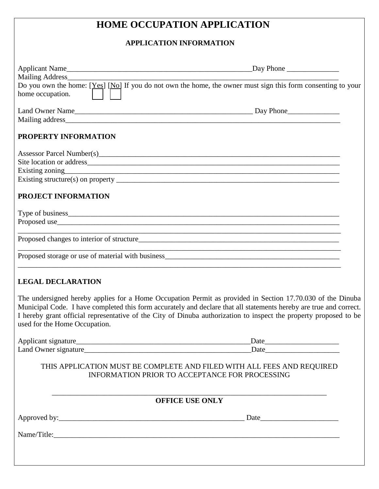# **HOME OCCUPATION APPLICATION**

# **APPLICATION INFORMATION**

|                               | Do you own the home: [Yes] [No] If you do not own the home, the owner must sign this form consenting to your                                                                                                                                                                                                                                          |
|-------------------------------|-------------------------------------------------------------------------------------------------------------------------------------------------------------------------------------------------------------------------------------------------------------------------------------------------------------------------------------------------------|
| home occupation.              |                                                                                                                                                                                                                                                                                                                                                       |
|                               |                                                                                                                                                                                                                                                                                                                                                       |
|                               |                                                                                                                                                                                                                                                                                                                                                       |
|                               |                                                                                                                                                                                                                                                                                                                                                       |
| PROPERTY INFORMATION          |                                                                                                                                                                                                                                                                                                                                                       |
|                               |                                                                                                                                                                                                                                                                                                                                                       |
|                               |                                                                                                                                                                                                                                                                                                                                                       |
|                               |                                                                                                                                                                                                                                                                                                                                                       |
|                               |                                                                                                                                                                                                                                                                                                                                                       |
| <b>PROJECT INFORMATION</b>    |                                                                                                                                                                                                                                                                                                                                                       |
|                               |                                                                                                                                                                                                                                                                                                                                                       |
|                               |                                                                                                                                                                                                                                                                                                                                                       |
|                               |                                                                                                                                                                                                                                                                                                                                                       |
|                               |                                                                                                                                                                                                                                                                                                                                                       |
|                               |                                                                                                                                                                                                                                                                                                                                                       |
|                               | and the control of the control of the control of the control of the control of the control of the control of the                                                                                                                                                                                                                                      |
| <b>LEGAL DECLARATION</b>      |                                                                                                                                                                                                                                                                                                                                                       |
| used for the Home Occupation. | The undersigned hereby applies for a Home Occupation Permit as provided in Section 17.70.030 of the Dinuba<br>Municipal Code. I have completed this form accurately and declare that all statements hereby are true and correct.<br>I hereby grant official representative of the City of Dinuba authorization to inspect the property proposed to be |
|                               | $\text{Date}$                                                                                                                                                                                                                                                                                                                                         |
|                               |                                                                                                                                                                                                                                                                                                                                                       |
|                               | THIS APPLICATION MUST BE COMPLETE AND FILED WITH ALL FEES AND REQUIRED<br>INFORMATION PRIOR TO ACCEPTANCE FOR PROCESSING                                                                                                                                                                                                                              |
|                               | <b>OFFICE USE ONLY</b>                                                                                                                                                                                                                                                                                                                                |
|                               |                                                                                                                                                                                                                                                                                                                                                       |
|                               |                                                                                                                                                                                                                                                                                                                                                       |
|                               |                                                                                                                                                                                                                                                                                                                                                       |
|                               |                                                                                                                                                                                                                                                                                                                                                       |